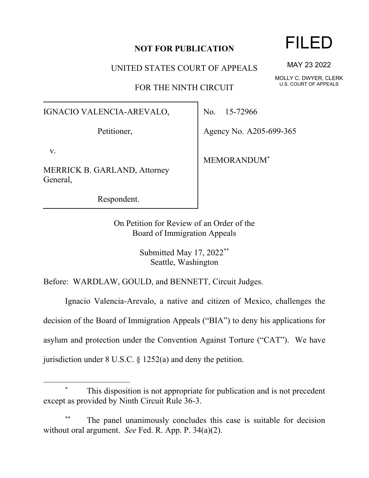## **NOT FOR PUBLICATION**

UNITED STATES COURT OF APPEALS

FOR THE NINTH CIRCUIT

## IGNACIO VALENCIA-AREVALO,

Petitioner,

v.

MERRICK B. GARLAND, Attorney General,

Respondent.

No. 15-72966

Agency No. A205-699-365

MEMORANDUM\*

On Petition for Review of an Order of the Board of Immigration Appeals

> Submitted May 17, 2022\*\* Seattle, Washington

Before: WARDLAW, GOULD, and BENNETT, Circuit Judges.

Ignacio Valencia-Arevalo, a native and citizen of Mexico, challenges the decision of the Board of Immigration Appeals ("BIA") to deny his applications for asylum and protection under the Convention Against Torture ("CAT"). We have jurisdiction under 8 U.S.C. § 1252(a) and deny the petition.

FILED

MAY 23 2022

MOLLY C. DWYER, CLERK U.S. COURT OF APPEALS

This disposition is not appropriate for publication and is not precedent except as provided by Ninth Circuit Rule 36-3.

The panel unanimously concludes this case is suitable for decision without oral argument. *See* Fed. R. App. P. 34(a)(2).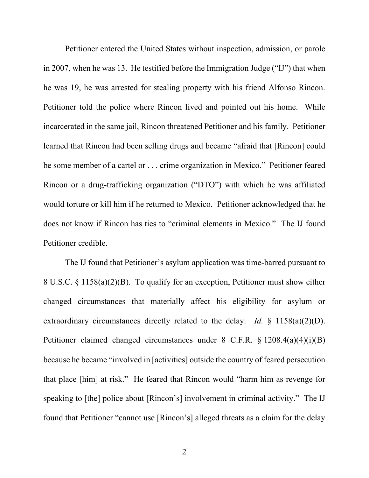Petitioner entered the United States without inspection, admission, or parole in 2007, when he was 13. He testified before the Immigration Judge ("IJ") that when he was 19, he was arrested for stealing property with his friend Alfonso Rincon. Petitioner told the police where Rincon lived and pointed out his home. While incarcerated in the same jail, Rincon threatened Petitioner and his family. Petitioner learned that Rincon had been selling drugs and became "afraid that [Rincon] could be some member of a cartel or . . . crime organization in Mexico." Petitioner feared Rincon or a drug-trafficking organization ("DTO") with which he was affiliated would torture or kill him if he returned to Mexico. Petitioner acknowledged that he does not know if Rincon has ties to "criminal elements in Mexico." The IJ found Petitioner credible.

The IJ found that Petitioner's asylum application was time-barred pursuant to 8 U.S.C. § 1158(a)(2)(B). To qualify for an exception, Petitioner must show either changed circumstances that materially affect his eligibility for asylum or extraordinary circumstances directly related to the delay. *Id.* § 1158(a)(2)(D). Petitioner claimed changed circumstances under 8 C.F.R. § 1208.4(a)(4)(i)(B) because he became "involved in [activities] outside the country of feared persecution that place [him] at risk." He feared that Rincon would "harm him as revenge for speaking to [the] police about [Rincon's] involvement in criminal activity." The IJ found that Petitioner "cannot use [Rincon's] alleged threats as a claim for the delay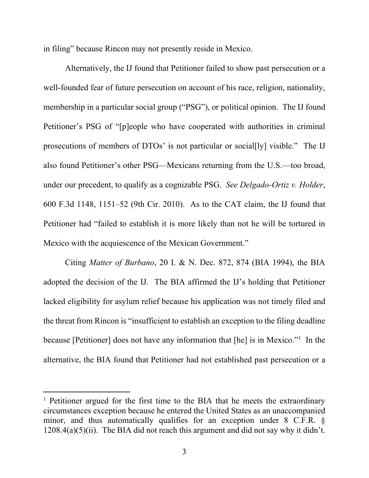in filing" because Rincon may not presently reside in Mexico.

Alternatively, the IJ found that Petitioner failed to show past persecution or a well-founded fear of future persecution on account of his race, religion, nationality, membership in a particular social group ("PSG"), or political opinion. The IJ found Petitioner's PSG of "[p]eople who have cooperated with authorities in criminal prosecutions of members of DTOs' is not particular or social[ly] visible." The IJ also found Petitioner's other PSG—Mexicans returning from the U.S.—too broad, under our precedent, to qualify as a cognizable PSG. *See Delgado-Ortiz v. Holder*, 600 F.3d 1148, 1151–52 (9th Cir. 2010). As to the CAT claim, the IJ found that Petitioner had "failed to establish it is more likely than not he will be tortured in Mexico with the acquiescence of the Mexican Government."

Citing *Matter of Burbano*, 20 I. & N. Dec. 872, 874 (BIA 1994), the BIA adopted the decision of the IJ. The BIA affirmed the IJ's holding that Petitioner lacked eligibility for asylum relief because his application was not timely filed and the threat from Rincon is "insufficient to establish an exception to the filing deadline because [Petitioner] does not have any information that [he] is in Mexico."<sup>1</sup> In the alternative, the BIA found that Petitioner had not established past persecution or a

<sup>&</sup>lt;sup>1</sup> Petitioner argued for the first time to the BIA that he meets the extraordinary circumstances exception because he entered the United States as an unaccompanied minor, and thus automatically qualifies for an exception under 8 C.F.R. §  $1208.4(a)(5)(ii)$ . The BIA did not reach this argument and did not say why it didn't.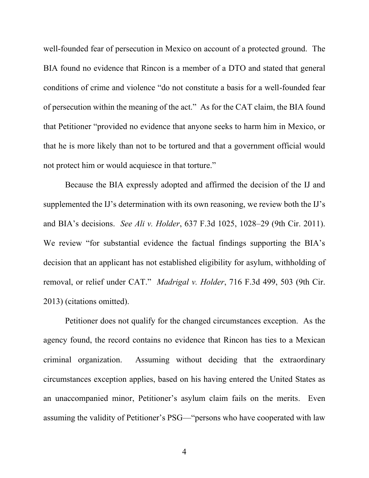well-founded fear of persecution in Mexico on account of a protected ground. The BIA found no evidence that Rincon is a member of a DTO and stated that general conditions of crime and violence "do not constitute a basis for a well-founded fear of persecution within the meaning of the act." As for the CAT claim, the BIA found that Petitioner "provided no evidence that anyone seeks to harm him in Mexico, or that he is more likely than not to be tortured and that a government official would not protect him or would acquiesce in that torture."

Because the BIA expressly adopted and affirmed the decision of the IJ and supplemented the IJ's determination with its own reasoning, we review both the IJ's and BIA's decisions. *See Ali v. Holder*, 637 F.3d 1025, 1028–29 (9th Cir. 2011). We review "for substantial evidence the factual findings supporting the BIA's decision that an applicant has not established eligibility for asylum, withholding of removal, or relief under CAT." *Madrigal v. Holder*, 716 F.3d 499, 503 (9th Cir. 2013) (citations omitted).

Petitioner does not qualify for the changed circumstances exception. As the agency found, the record contains no evidence that Rincon has ties to a Mexican criminal organization. Assuming without deciding that the extraordinary circumstances exception applies, based on his having entered the United States as an unaccompanied minor, Petitioner's asylum claim fails on the merits. Even assuming the validity of Petitioner's PSG—"persons who have cooperated with law